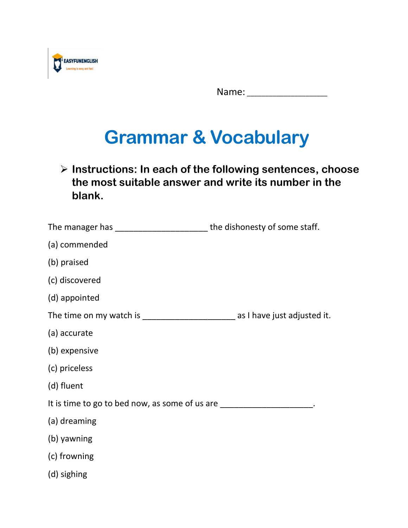

Name:

## **Grammar & Vocabulary**

➢ **Instructions: In each of the following sentences, choose the most suitable answer and write its number in the blank.**

| The manager has __________________________the dishonesty of some staff.                |  |
|----------------------------------------------------------------------------------------|--|
| (a) commended                                                                          |  |
| (b) praised                                                                            |  |
| (c) discovered                                                                         |  |
| (d) appointed                                                                          |  |
| The time on my watch is __________________________________ as I have just adjusted it. |  |
| (a) accurate                                                                           |  |
| (b) expensive                                                                          |  |
| (c) priceless                                                                          |  |
| (d) fluent                                                                             |  |
| It is time to go to bed now, as some of us are _________________________________       |  |
| (a) dreaming                                                                           |  |
| (b) yawning                                                                            |  |
| (c) frowning                                                                           |  |
| (d) sighing                                                                            |  |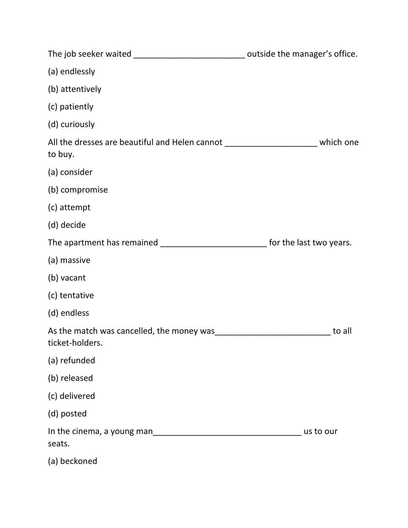| The job seeker waited ________________________________ outside the manager's office.         |           |
|----------------------------------------------------------------------------------------------|-----------|
| (a) endlessly                                                                                |           |
| (b) attentively                                                                              |           |
| (c) patiently                                                                                |           |
| (d) curiously                                                                                |           |
| All the dresses are beautiful and Helen cannot ________________________ which one<br>to buy. |           |
| (a) consider                                                                                 |           |
| (b) compromise                                                                               |           |
| (c) attempt                                                                                  |           |
| (d) decide                                                                                   |           |
| The apartment has remained ________________________________ for the last two years.          |           |
| (a) massive                                                                                  |           |
| (b) vacant                                                                                   |           |
| (c) tentative                                                                                |           |
| (d) endless                                                                                  |           |
| As the match was cancelled, the money was<br>ticket-holders.                                 | to all    |
| (a) refunded                                                                                 |           |
| (b) released                                                                                 |           |
| (c) delivered                                                                                |           |
| (d) posted                                                                                   |           |
| In the cinema, a young man<br>seats.                                                         | us to our |
| (a) beckoned                                                                                 |           |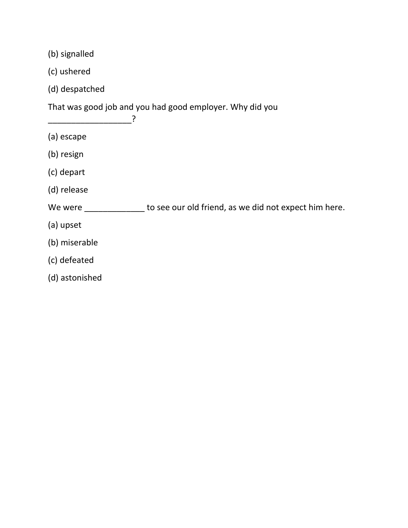(b) signalled

- (c) ushered
- (d) despatched

\_\_\_\_\_\_\_\_\_\_\_\_\_\_\_\_\_\_?

That was good job and you had good employer. Why did you

- (a) escape
- (b) resign
- (c) depart
- (d) release

We were \_\_\_\_\_\_\_\_\_\_\_\_\_\_\_ to see our old friend, as we did not expect him here.

- (a) upset
- (b) miserable
- (c) defeated
- (d) astonished